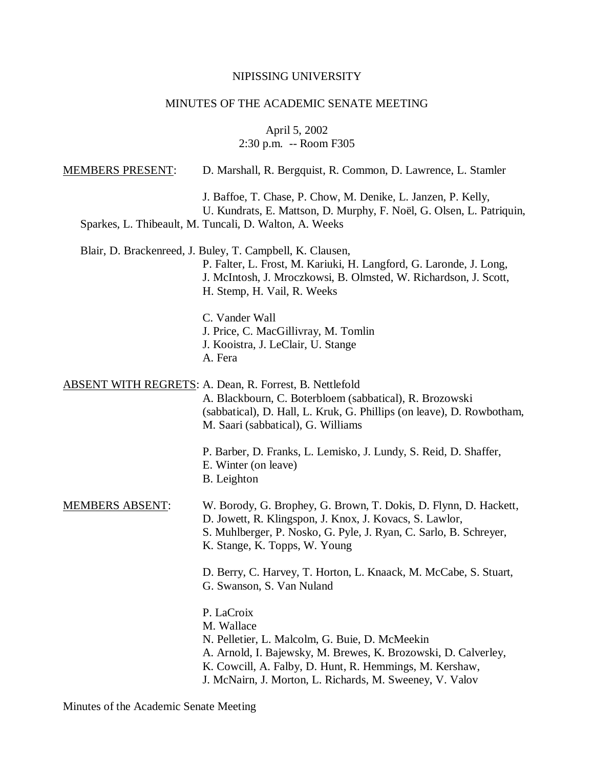## NIPISSING UNIVERSITY

## MINUTES OF THE ACADEMIC SENATE MEETING

April 5, 2002 2:30 p.m. -- Room F305

| <b>MEMBERS PRESENT:</b> | D. Marshall, R. Bergquist, R. Common, D. Lawrence, L. Stamler                                                                                                                                                                                                       |
|-------------------------|---------------------------------------------------------------------------------------------------------------------------------------------------------------------------------------------------------------------------------------------------------------------|
|                         | J. Baffoe, T. Chase, P. Chow, M. Denike, L. Janzen, P. Kelly,<br>U. Kundrats, E. Mattson, D. Murphy, F. Noël, G. Olsen, L. Patriquin,<br>Sparkes, L. Thibeault, M. Tuncali, D. Walton, A. Weeks                                                                     |
|                         | Blair, D. Brackenreed, J. Buley, T. Campbell, K. Clausen,<br>P. Falter, L. Frost, M. Kariuki, H. Langford, G. Laronde, J. Long,<br>J. McIntosh, J. Mroczkowsi, B. Olmsted, W. Richardson, J. Scott,<br>H. Stemp, H. Vail, R. Weeks                                  |
|                         | C. Vander Wall<br>J. Price, C. MacGillivray, M. Tomlin<br>J. Kooistra, J. LeClair, U. Stange<br>A. Fera                                                                                                                                                             |
|                         | <b>ABSENT WITH REGRETS: A. Dean, R. Forrest, B. Nettlefold</b><br>A. Blackbourn, C. Boterbloem (sabbatical), R. Brozowski<br>(sabbatical), D. Hall, L. Kruk, G. Phillips (on leave), D. Rowbotham,<br>M. Saari (sabbatical), G. Williams                            |
|                         | P. Barber, D. Franks, L. Lemisko, J. Lundy, S. Reid, D. Shaffer,<br>E. Winter (on leave)<br>B. Leighton                                                                                                                                                             |
| <u>MEMBERS ABSENT:</u>  | W. Borody, G. Brophey, G. Brown, T. Dokis, D. Flynn, D. Hackett,<br>D. Jowett, R. Klingspon, J. Knox, J. Kovacs, S. Lawlor,<br>S. Muhlberger, P. Nosko, G. Pyle, J. Ryan, C. Sarlo, B. Schreyer,<br>K. Stange, K. Topps, W. Young                                   |
|                         | D. Berry, C. Harvey, T. Horton, L. Knaack, M. McCabe, S. Stuart,<br>G. Swanson, S. Van Nuland                                                                                                                                                                       |
|                         | P. LaCroix<br>M. Wallace<br>N. Pelletier, L. Malcolm, G. Buie, D. McMeekin<br>A. Arnold, I. Bajewsky, M. Brewes, K. Brozowski, D. Calverley,<br>K. Cowcill, A. Falby, D. Hunt, R. Hemmings, M. Kershaw,<br>J. McNairn, J. Morton, L. Richards, M. Sweeney, V. Valov |

Minutes of the Academic Senate Meeting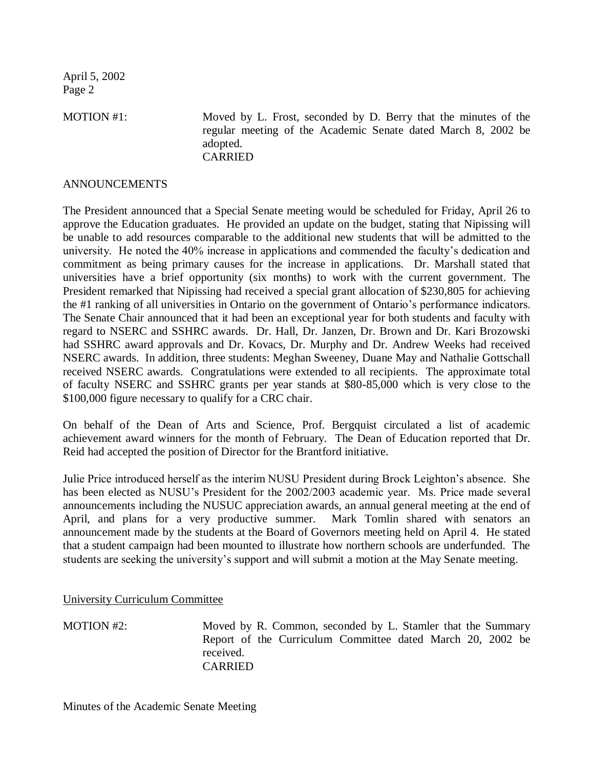MOTION #1: Moved by L. Frost, seconded by D. Berry that the minutes of the regular meeting of the Academic Senate dated March 8, 2002 be adopted. CARRIED

## ANNOUNCEMENTS

The President announced that a Special Senate meeting would be scheduled for Friday, April 26 to approve the Education graduates. He provided an update on the budget, stating that Nipissing will be unable to add resources comparable to the additional new students that will be admitted to the university. He noted the 40% increase in applications and commended the faculty's dedication and commitment as being primary causes for the increase in applications. Dr. Marshall stated that universities have a brief opportunity (six months) to work with the current government. The President remarked that Nipissing had received a special grant allocation of \$230,805 for achieving the #1 ranking of all universities in Ontario on the government of Ontario's performance indicators. The Senate Chair announced that it had been an exceptional year for both students and faculty with regard to NSERC and SSHRC awards. Dr. Hall, Dr. Janzen, Dr. Brown and Dr. Kari Brozowski had SSHRC award approvals and Dr. Kovacs, Dr. Murphy and Dr. Andrew Weeks had received NSERC awards. In addition, three students: Meghan Sweeney, Duane May and Nathalie Gottschall received NSERC awards. Congratulations were extended to all recipients. The approximate total of faculty NSERC and SSHRC grants per year stands at \$80-85,000 which is very close to the \$100,000 figure necessary to qualify for a CRC chair.

On behalf of the Dean of Arts and Science, Prof. Bergquist circulated a list of academic achievement award winners for the month of February. The Dean of Education reported that Dr. Reid had accepted the position of Director for the Brantford initiative.

Julie Price introduced herself as the interim NUSU President during Brock Leighton's absence. She has been elected as NUSU's President for the 2002/2003 academic year. Ms. Price made several announcements including the NUSUC appreciation awards, an annual general meeting at the end of April, and plans for a very productive summer. Mark Tomlin shared with senators an announcement made by the students at the Board of Governors meeting held on April 4. He stated that a student campaign had been mounted to illustrate how northern schools are underfunded. The students are seeking the university's support and will submit a motion at the May Senate meeting.

University Curriculum Committee

MOTION #2: Moved by R. Common, seconded by L. Stamler that the Summary Report of the Curriculum Committee dated March 20, 2002 be received. CARRIED

Minutes of the Academic Senate Meeting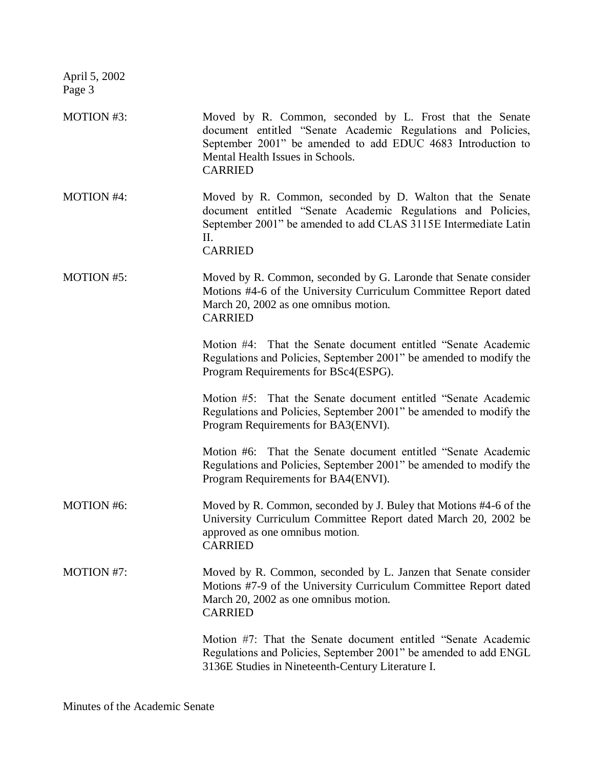| MOTION #3:        | Moved by R. Common, seconded by L. Frost that the Senate<br>document entitled "Senate Academic Regulations and Policies,<br>September 2001" be amended to add EDUC 4683 Introduction to<br>Mental Health Issues in Schools.<br><b>CARRIED</b> |
|-------------------|-----------------------------------------------------------------------------------------------------------------------------------------------------------------------------------------------------------------------------------------------|
| <b>MOTION #4:</b> | Moved by R. Common, seconded by D. Walton that the Senate<br>document entitled "Senate Academic Regulations and Policies,<br>September 2001" be amended to add CLAS 3115E Intermediate Latin<br>П.<br><b>CARRIED</b>                          |
| <b>MOTION #5:</b> | Moved by R. Common, seconded by G. Laronde that Senate consider<br>Motions #4-6 of the University Curriculum Committee Report dated<br>March 20, 2002 as one omnibus motion.<br><b>CARRIED</b>                                                |
|                   | Motion #4: That the Senate document entitled "Senate Academic"<br>Regulations and Policies, September 2001" be amended to modify the<br>Program Requirements for BSc4(ESPG).                                                                  |
|                   | Motion #5: That the Senate document entitled "Senate Academic"<br>Regulations and Policies, September 2001" be amended to modify the<br>Program Requirements for BA3(ENVI).                                                                   |
|                   | Motion #6: That the Senate document entitled "Senate Academic<br>Regulations and Policies, September 2001" be amended to modify the<br>Program Requirements for BA4(ENVI).                                                                    |
| <b>MOTION #6:</b> | Moved by R. Common, seconded by J. Buley that Motions #4-6 of the<br>University Curriculum Committee Report dated March 20, 2002 be<br>approved as one omnibus motion.<br><b>CARRIED</b>                                                      |
| MOTION #7:        | Moved by R. Common, seconded by L. Janzen that Senate consider<br>Motions #7-9 of the University Curriculum Committee Report dated<br>March 20, 2002 as one omnibus motion.<br><b>CARRIED</b>                                                 |
|                   | Motion #7: That the Senate document entitled "Senate Academic<br>Regulations and Policies, September 2001" be amended to add ENGL<br>3136E Studies in Nineteenth-Century Literature I.                                                        |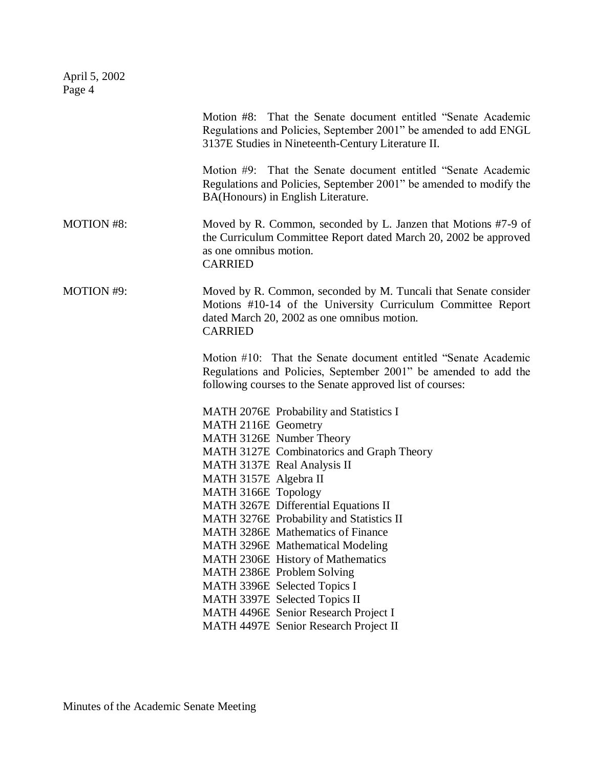|                   | Motion #8: That the Senate document entitled "Senate Academic"<br>Regulations and Policies, September 2001" be amended to add ENGL<br>3137E Studies in Nineteenth-Century Literature II.         |
|-------------------|--------------------------------------------------------------------------------------------------------------------------------------------------------------------------------------------------|
|                   | Motion #9: That the Senate document entitled "Senate Academic"<br>Regulations and Policies, September 2001" be amended to modify the<br>BA(Honours) in English Literature.                       |
| <b>MOTION #8:</b> | Moved by R. Common, seconded by L. Janzen that Motions #7-9 of<br>the Curriculum Committee Report dated March 20, 2002 be approved<br>as one omnibus motion.<br><b>CARRIED</b>                   |
| MOTION #9:        | Moved by R. Common, seconded by M. Tuncali that Senate consider<br>Motions #10-14 of the University Curriculum Committee Report<br>dated March 20, 2002 as one omnibus motion.<br><b>CARRIED</b> |
|                   | Motion #10: That the Senate document entitled "Senate Academic"<br>Regulations and Policies, September 2001" be amended to add the<br>following courses to the Senate approved list of courses:  |
|                   | MATH 2076E Probability and Statistics I                                                                                                                                                          |
|                   | MATH 2116E Geometry                                                                                                                                                                              |
|                   | MATH 3126E Number Theory                                                                                                                                                                         |
|                   | MATH 3127E Combinatorics and Graph Theory                                                                                                                                                        |
|                   | MATH 3137E Real Analysis II                                                                                                                                                                      |
|                   | MATH 3157E Algebra II                                                                                                                                                                            |
|                   | MATH 3166E Topology<br>MATH 3267E Differential Equations II                                                                                                                                      |
|                   | MATH 3276E Probability and Statistics II                                                                                                                                                         |
|                   | MATH 3286E Mathematics of Finance                                                                                                                                                                |
|                   | MATH 3296E Mathematical Modeling                                                                                                                                                                 |
|                   | MATH 2306E History of Mathematics                                                                                                                                                                |
|                   | MATH 2386E Problem Solving                                                                                                                                                                       |
|                   | MATH 3396E Selected Topics I                                                                                                                                                                     |
|                   | MATH 3397E Selected Topics II                                                                                                                                                                    |
|                   | MATH 4496E Senior Research Project I                                                                                                                                                             |
|                   | MATH 4497E Senior Research Project II                                                                                                                                                            |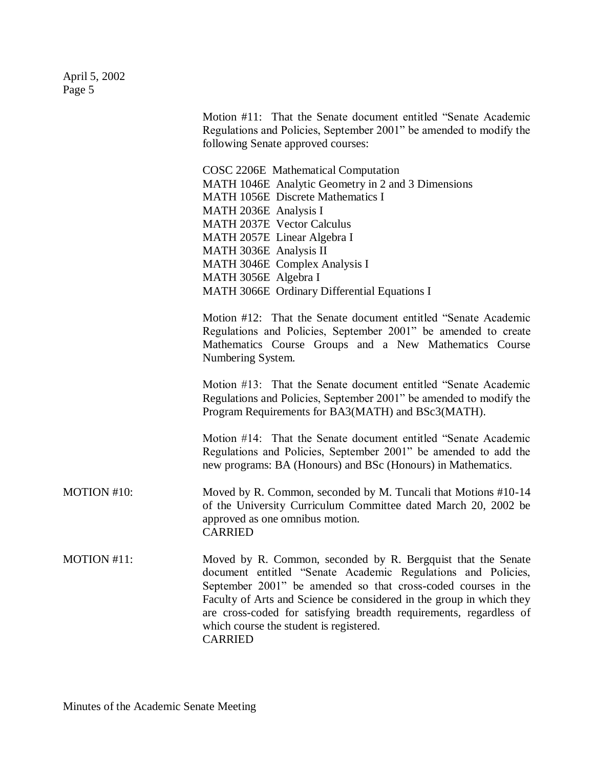|             | Motion #11: That the Senate document entitled "Senate Academic"<br>Regulations and Policies, September 2001" be amended to modify the<br>following Senate approved courses:                                                                                                                                                                                                                              |
|-------------|----------------------------------------------------------------------------------------------------------------------------------------------------------------------------------------------------------------------------------------------------------------------------------------------------------------------------------------------------------------------------------------------------------|
|             | COSC 2206E Mathematical Computation<br>MATH 1046E Analytic Geometry in 2 and 3 Dimensions<br><b>MATH 1056E</b> Discrete Mathematics I<br>MATH 2036E Analysis I<br>MATH 2037E Vector Calculus<br>MATH 2057E Linear Algebra I<br>MATH 3036E Analysis II<br>MATH 3046E Complex Analysis I<br>MATH 3056E Algebra I<br>MATH 3066E Ordinary Differential Equations I                                           |
|             | Motion #12: That the Senate document entitled "Senate Academic"<br>Regulations and Policies, September 2001" be amended to create<br>Mathematics Course Groups and a New Mathematics Course<br>Numbering System.                                                                                                                                                                                         |
|             | Motion #13: That the Senate document entitled "Senate Academic"<br>Regulations and Policies, September 2001" be amended to modify the<br>Program Requirements for BA3(MATH) and BSc3(MATH).                                                                                                                                                                                                              |
|             | Motion #14: That the Senate document entitled "Senate Academic<br>Regulations and Policies, September 2001" be amended to add the<br>new programs: BA (Honours) and BSc (Honours) in Mathematics.                                                                                                                                                                                                        |
| MOTION #10: | Moved by R. Common, seconded by M. Tuncali that Motions #10-14<br>of the University Curriculum Committee dated March 20, 2002 be<br>approved as one omnibus motion.<br><b>CARRIED</b>                                                                                                                                                                                                                    |
| MOTION #11: | Moved by R. Common, seconded by R. Bergquist that the Senate<br>document entitled "Senate Academic Regulations and Policies,<br>September 2001" be amended so that cross-coded courses in the<br>Faculty of Arts and Science be considered in the group in which they<br>are cross-coded for satisfying breadth requirements, regardless of<br>which course the student is registered.<br><b>CARRIED</b> |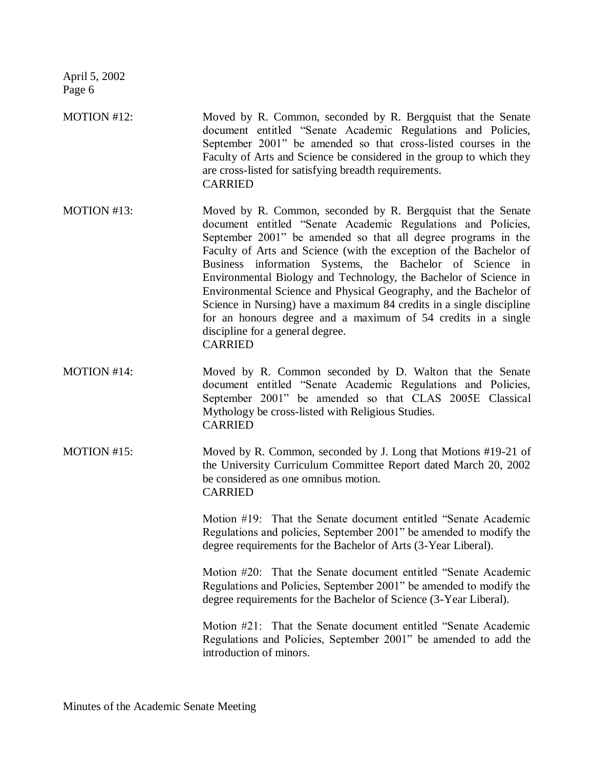MOTION #12: Moved by R. Common, seconded by R. Bergquist that the Senate document entitled "Senate Academic Regulations and Policies, September 2001" be amended so that cross-listed courses in the Faculty of Arts and Science be considered in the group to which they are cross-listed for satisfying breadth requirements. CARRIED

- MOTION #13: Moved by R. Common, seconded by R. Bergquist that the Senate document entitled "Senate Academic Regulations and Policies, September 2001" be amended so that all degree programs in the Faculty of Arts and Science (with the exception of the Bachelor of Business information Systems, the Bachelor of Science in Environmental Biology and Technology, the Bachelor of Science in Environmental Science and Physical Geography, and the Bachelor of Science in Nursing) have a maximum 84 credits in a single discipline for an honours degree and a maximum of 54 credits in a single discipline for a general degree. CARRIED
- MOTION #14: Moved by R. Common seconded by D. Walton that the Senate document entitled "Senate Academic Regulations and Policies, September 2001" be amended so that CLAS 2005E Classical Mythology be cross-listed with Religious Studies. CARRIED
- MOTION #15: Moved by R. Common, seconded by J. Long that Motions #19-21 of the University Curriculum Committee Report dated March 20, 2002 be considered as one omnibus motion. CARRIED

Motion #19: That the Senate document entitled "Senate Academic Regulations and policies, September 2001" be amended to modify the degree requirements for the Bachelor of Arts (3-Year Liberal).

Motion #20: That the Senate document entitled "Senate Academic Regulations and Policies, September 2001" be amended to modify the degree requirements for the Bachelor of Science (3-Year Liberal).

Motion #21: That the Senate document entitled "Senate Academic Regulations and Policies, September 2001" be amended to add the introduction of minors.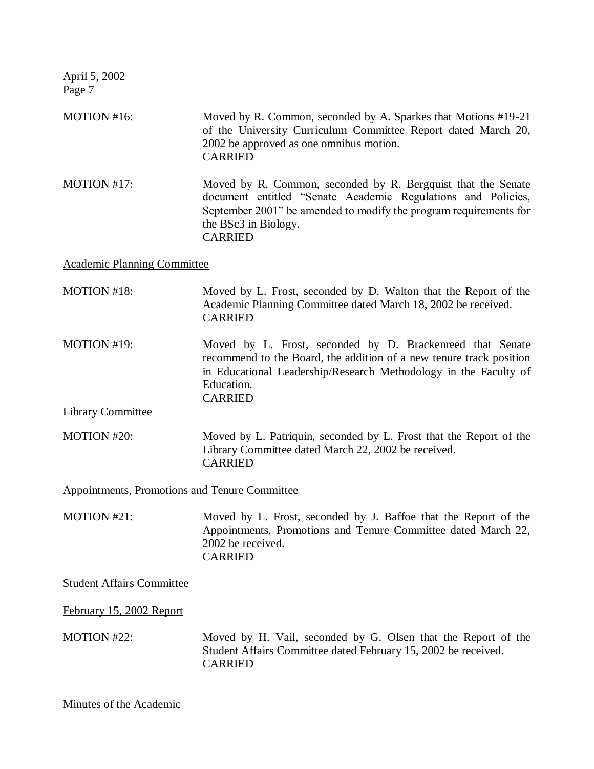| MOTION #16:                                          | Moved by R. Common, seconded by A. Sparkes that Motions #19-21<br>of the University Curriculum Committee Report dated March 20,<br>2002 be approved as one omnibus motion.<br><b>CARRIED</b>                                                |
|------------------------------------------------------|---------------------------------------------------------------------------------------------------------------------------------------------------------------------------------------------------------------------------------------------|
| MOTION #17:                                          | Moved by R. Common, seconded by R. Bergquist that the Senate<br>document entitled "Senate Academic Regulations and Policies,<br>September 2001" be amended to modify the program requirements for<br>the BSc3 in Biology.<br><b>CARRIED</b> |
| <b>Academic Planning Committee</b>                   |                                                                                                                                                                                                                                             |
| <b>MOTION #18:</b>                                   | Moved by L. Frost, seconded by D. Walton that the Report of the<br>Academic Planning Committee dated March 18, 2002 be received.<br><b>CARRIED</b>                                                                                          |
| MOTION #19:                                          | Moved by L. Frost, seconded by D. Brackenreed that Senate<br>recommend to the Board, the addition of a new tenure track position<br>in Educational Leadership/Research Methodology in the Faculty of<br>Education.<br><b>CARRIED</b>        |
| <b>Library Committee</b>                             |                                                                                                                                                                                                                                             |
| MOTION #20:                                          | Moved by L. Patriquin, seconded by L. Frost that the Report of the<br>Library Committee dated March 22, 2002 be received.<br><b>CARRIED</b>                                                                                                 |
| <b>Appointments, Promotions and Tenure Committee</b> |                                                                                                                                                                                                                                             |
| MOTION #21:                                          | Moved by L. Frost, seconded by J. Baffoe that the Report of the<br>Appointments, Promotions and Tenure Committee dated March 22,<br>2002 be received.<br><b>CARRIED</b>                                                                     |
| <b>Student Affairs Committee</b>                     |                                                                                                                                                                                                                                             |
| February 15, 2002 Report                             |                                                                                                                                                                                                                                             |
| MOTION #22:                                          | Moved by H. Vail, seconded by G. Olsen that the Report of the<br>Student Affairs Committee dated February 15, 2002 be received.<br><b>CARRIED</b>                                                                                           |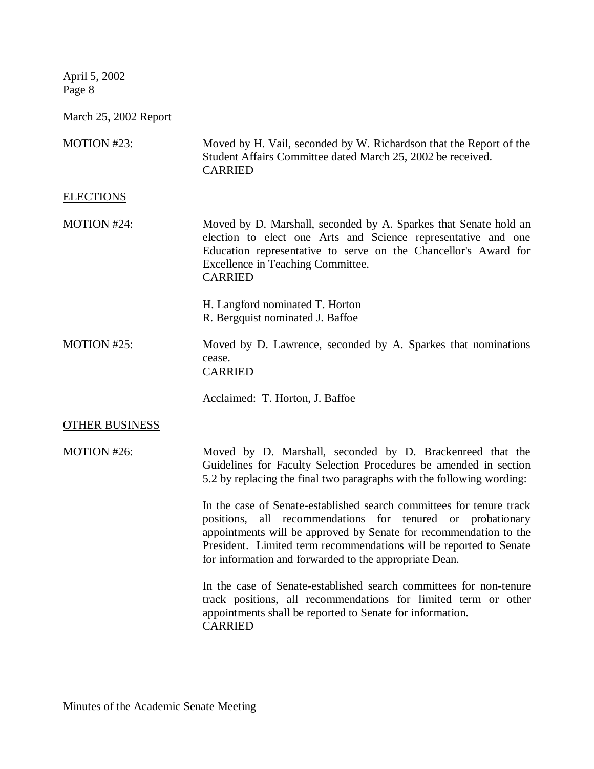March 25, 2002 Report

| MOTION #23:           | Moved by H. Vail, seconded by W. Richardson that the Report of the<br>Student Affairs Committee dated March 25, 2002 be received.<br><b>CARRIED</b>                                                                                                                                                                                     |
|-----------------------|-----------------------------------------------------------------------------------------------------------------------------------------------------------------------------------------------------------------------------------------------------------------------------------------------------------------------------------------|
| <b>ELECTIONS</b>      |                                                                                                                                                                                                                                                                                                                                         |
| MOTION #24:           | Moved by D. Marshall, seconded by A. Sparkes that Senate hold an<br>election to elect one Arts and Science representative and one<br>Education representative to serve on the Chancellor's Award for<br>Excellence in Teaching Committee.<br><b>CARRIED</b>                                                                             |
|                       | H. Langford nominated T. Horton<br>R. Bergquist nominated J. Baffoe                                                                                                                                                                                                                                                                     |
| MOTION #25:           | Moved by D. Lawrence, seconded by A. Sparkes that nominations<br>cease.<br><b>CARRIED</b>                                                                                                                                                                                                                                               |
|                       | Acclaimed: T. Horton, J. Baffoe                                                                                                                                                                                                                                                                                                         |
| <b>OTHER BUSINESS</b> |                                                                                                                                                                                                                                                                                                                                         |
| MOTION #26:           | Moved by D. Marshall, seconded by D. Brackenreed that the<br>Guidelines for Faculty Selection Procedures be amended in section<br>5.2 by replacing the final two paragraphs with the following wording:                                                                                                                                 |
|                       | In the case of Senate-established search committees for tenure track<br>positions, all recommendations for tenured or probationary<br>appointments will be approved by Senate for recommendation to the<br>President. Limited term recommendations will be reported to Senate<br>for information and forwarded to the appropriate Dean. |
|                       | In the case of Senate-established search committees for non-tenure<br>track positions, all recommendations for limited term or other<br>appointments shall be reported to Senate for information.<br><b>CARRIED</b>                                                                                                                     |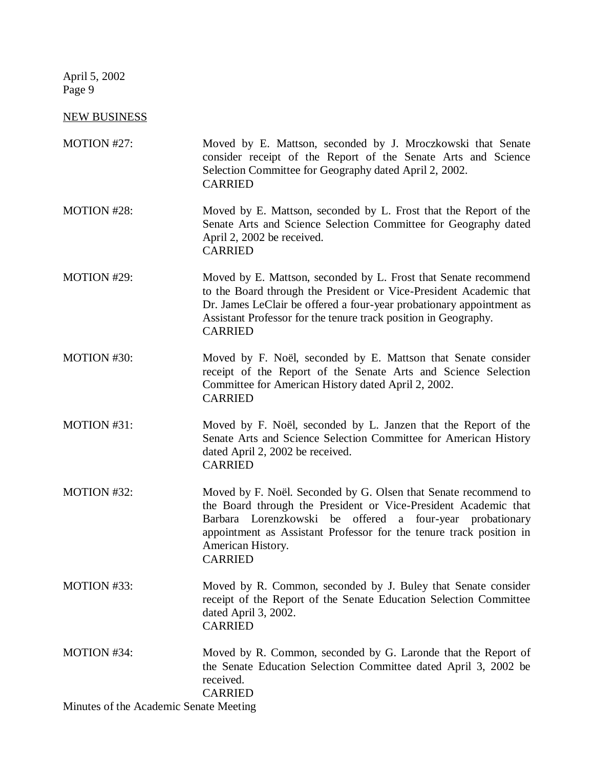NEW BUSINESS

| MOTION #27:                            | Moved by E. Mattson, seconded by J. Mroczkowski that Senate<br>consider receipt of the Report of the Senate Arts and Science<br>Selection Committee for Geography dated April 2, 2002.<br><b>CARRIED</b>                                                                                                        |
|----------------------------------------|-----------------------------------------------------------------------------------------------------------------------------------------------------------------------------------------------------------------------------------------------------------------------------------------------------------------|
| MOTION #28:                            | Moved by E. Mattson, seconded by L. Frost that the Report of the<br>Senate Arts and Science Selection Committee for Geography dated<br>April 2, 2002 be received.<br><b>CARRIED</b>                                                                                                                             |
| MOTION #29:                            | Moved by E. Mattson, seconded by L. Frost that Senate recommend<br>to the Board through the President or Vice-President Academic that<br>Dr. James LeClair be offered a four-year probationary appointment as<br>Assistant Professor for the tenure track position in Geography.<br><b>CARRIED</b>              |
| MOTION #30:                            | Moved by F. Noël, seconded by E. Mattson that Senate consider<br>receipt of the Report of the Senate Arts and Science Selection<br>Committee for American History dated April 2, 2002.<br><b>CARRIED</b>                                                                                                        |
| MOTION #31:                            | Moved by F. Noël, seconded by L. Janzen that the Report of the<br>Senate Arts and Science Selection Committee for American History<br>dated April 2, 2002 be received.<br><b>CARRIED</b>                                                                                                                        |
| MOTION #32:                            | Moved by F. Noël. Seconded by G. Olsen that Senate recommend to<br>the Board through the President or Vice-President Academic that<br>Barbara Lorenzkowski<br>be offered a four-year probationary<br>appointment as Assistant Professor for the tenure track position in<br>American History.<br><b>CARRIED</b> |
| MOTION #33:                            | Moved by R. Common, seconded by J. Buley that Senate consider<br>receipt of the Report of the Senate Education Selection Committee<br>dated April 3, 2002.<br><b>CARRIED</b>                                                                                                                                    |
| MOTION #34:                            | Moved by R. Common, seconded by G. Laronde that the Report of<br>the Senate Education Selection Committee dated April 3, 2002 be<br>received.<br><b>CARRIED</b>                                                                                                                                                 |
| Minutes of the Academic Senate Meeting |                                                                                                                                                                                                                                                                                                                 |

Minutes of the Academic Senate Meeting